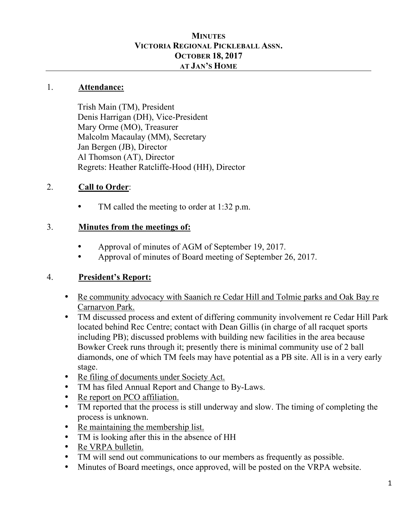#### **MINUTES VICTORIA REGIONAL PICKLEBALL ASSN. OCTOBER 18, 2017 AT JAN'S HOME**

#### 1. **Attendance:**

Trish Main (TM), President Denis Harrigan (DH), Vice-President Mary Orme (MO), Treasurer Malcolm Macaulay (MM), Secretary Jan Bergen (JB), Director Al Thomson (AT), Director Regrets: Heather Ratcliffe-Hood (HH), Director

#### 2. **Call to Order**:

TM called the meeting to order at 1:32 p.m.

#### 3. **Minutes from the meetings of:**

- Approval of minutes of AGM of September 19, 2017.
- Approval of minutes of Board meeting of September 26, 2017.

#### 4. **President's Report:**

- Re community advocacy with Saanich re Cedar Hill and Tolmie parks and Oak Bay re Carnarvon Park.
- TM discussed process and extent of differing community involvement re Cedar Hill Park located behind Rec Centre; contact with Dean Gillis (in charge of all racquet sports including PB); discussed problems with building new facilities in the area because Bowker Creek runs through it; presently there is minimal community use of 2 ball diamonds, one of which TM feels may have potential as a PB site. All is in a very early stage.
- Re filing of documents under Society Act.
- TM has filed Annual Report and Change to By-Laws.
- Re report on PCO affiliation.
- TM reported that the process is still underway and slow. The timing of completing the process is unknown.
- Re maintaining the membership list.
- TM is looking after this in the absence of HH
- Re VRPA bulletin.
- TM will send out communications to our members as frequently as possible.
- Minutes of Board meetings, once approved, will be posted on the VRPA website.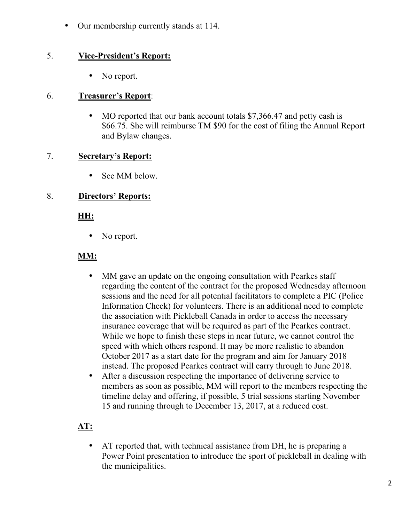• Our membership currently stands at 114.

### 5. **Vice-President's Report:**

• No report.

#### 6. **Treasurer's Report**:

• MO reported that our bank account totals \$7,366.47 and petty cash is \$66.75. She will reimburse TM \$90 for the cost of filing the Annual Report and Bylaw changes.

#### 7. **Secretary's Report:**

• See MM below.

#### 8. **Directors' Reports:**

#### **HH:**

• No report.

# **MM:**

- MM gave an update on the ongoing consultation with Pearkes staff regarding the content of the contract for the proposed Wednesday afternoon sessions and the need for all potential facilitators to complete a PIC (Police Information Check) for volunteers. There is an additional need to complete the association with Pickleball Canada in order to access the necessary insurance coverage that will be required as part of the Pearkes contract. While we hope to finish these steps in near future, we cannot control the speed with which others respond. It may be more realistic to abandon October 2017 as a start date for the program and aim for January 2018 instead. The proposed Pearkes contract will carry through to June 2018.
- After a discussion respecting the importance of delivering service to members as soon as possible, MM will report to the members respecting the timeline delay and offering, if possible, 5 trial sessions starting November 15 and running through to December 13, 2017, at a reduced cost.

# **AT:**

• AT reported that, with technical assistance from DH, he is preparing a Power Point presentation to introduce the sport of pickleball in dealing with the municipalities.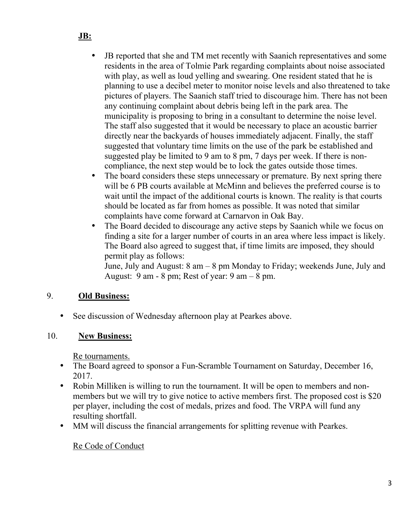- JB reported that she and TM met recently with Saanich representatives and some residents in the area of Tolmie Park regarding complaints about noise associated with play, as well as loud yelling and swearing. One resident stated that he is planning to use a decibel meter to monitor noise levels and also threatened to take pictures of players. The Saanich staff tried to discourage him. There has not been any continuing complaint about debris being left in the park area. The municipality is proposing to bring in a consultant to determine the noise level. The staff also suggested that it would be necessary to place an acoustic barrier directly near the backyards of houses immediately adjacent. Finally, the staff suggested that voluntary time limits on the use of the park be established and suggested play be limited to 9 am to 8 pm, 7 days per week. If there is noncompliance, the next step would be to lock the gates outside those times.
- The board considers these steps unnecessary or premature. By next spring there will be 6 PB courts available at McMinn and believes the preferred course is to wait until the impact of the additional courts is known. The reality is that courts should be located as far from homes as possible. It was noted that similar complaints have come forward at Carnarvon in Oak Bay.
- The Board decided to discourage any active steps by Saanich while we focus on finding a site for a larger number of courts in an area where less impact is likely. The Board also agreed to suggest that, if time limits are imposed, they should permit play as follows:

June, July and August: 8 am – 8 pm Monday to Friday; weekends June, July and August:  $9 \text{ am } -8 \text{ pm}$ ; Rest of year:  $9 \text{ am } -8 \text{ pm}$ .

#### 9. **Old Business:**

• See discussion of Wednesday afternoon play at Pearkes above.

# 10. **New Business:**

Re tournaments.

- The Board agreed to sponsor a Fun-Scramble Tournament on Saturday, December 16, 2017.
- Robin Milliken is willing to run the tournament. It will be open to members and nonmembers but we will try to give notice to active members first. The proposed cost is \$20 per player, including the cost of medals, prizes and food. The VRPA will fund any resulting shortfall.
- MM will discuss the financial arrangements for splitting revenue with Pearkes.

# Re Code of Conduct